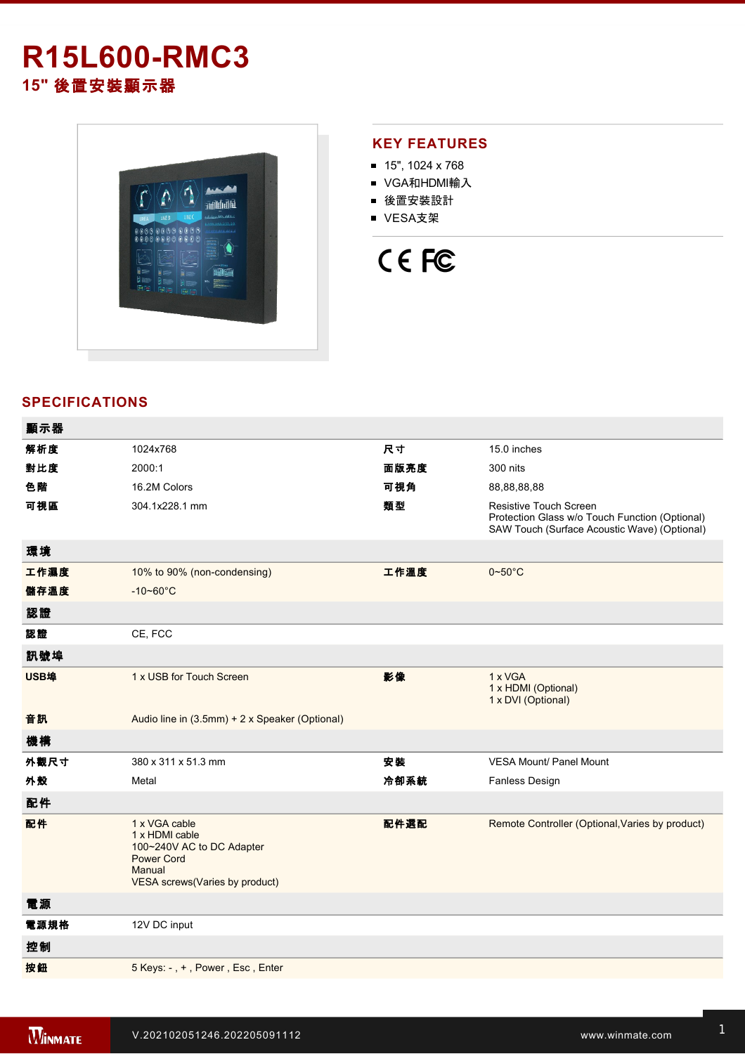# **R15L600RMC3 15"** 後置安裝顯示器



## **KEY FEATURES**

- 15", 1024 x 768
- VGA和HDMI輸入
- 後置安裝設計
- VESA支架

# CE FC

### **SPECIFICATIONS**

| 顯示器  |                                                                                                                               |      |                                                                                                                          |
|------|-------------------------------------------------------------------------------------------------------------------------------|------|--------------------------------------------------------------------------------------------------------------------------|
| 解析度  | 1024x768                                                                                                                      | 尺寸   | 15.0 inches                                                                                                              |
| 對比度  | 2000:1                                                                                                                        | 面版亮度 | 300 nits                                                                                                                 |
| 色階   | 16.2M Colors                                                                                                                  | 可視角  | 88,88,88,88                                                                                                              |
| 可視區  | 304.1x228.1 mm                                                                                                                | 類型   | Resistive Touch Screen<br>Protection Glass w/o Touch Function (Optional)<br>SAW Touch (Surface Acoustic Wave) (Optional) |
| 環境   |                                                                                                                               |      |                                                                                                                          |
| 工作濕度 | 10% to 90% (non-condensing)                                                                                                   | 工作溫度 | $0 - 50$ °C                                                                                                              |
| 儲存溫度 | $-10 - 60^{\circ}C$                                                                                                           |      |                                                                                                                          |
| 認證   |                                                                                                                               |      |                                                                                                                          |
| 認證   | CE, FCC                                                                                                                       |      |                                                                                                                          |
| 訊號埠  |                                                                                                                               |      |                                                                                                                          |
| USB埠 | 1 x USB for Touch Screen                                                                                                      | 影像   | 1 x VGA<br>1 x HDMI (Optional)<br>1 x DVI (Optional)                                                                     |
| 音訊   | Audio line in (3.5mm) + 2 x Speaker (Optional)                                                                                |      |                                                                                                                          |
| 機構   |                                                                                                                               |      |                                                                                                                          |
| 外觀尺寸 | 380 x 311 x 51.3 mm                                                                                                           | 安装   | <b>VESA Mount/ Panel Mount</b>                                                                                           |
| 外殼   | Metal                                                                                                                         | 冷卻系統 | Fanless Design                                                                                                           |
| 配件   |                                                                                                                               |      |                                                                                                                          |
| 配件   | 1 x VGA cable<br>1 x HDMI cable<br>100~240V AC to DC Adapter<br><b>Power Cord</b><br>Manual<br>VESA screws(Varies by product) | 配件選配 | Remote Controller (Optional, Varies by product)                                                                          |
| 電源   |                                                                                                                               |      |                                                                                                                          |
| 電源規格 | 12V DC input                                                                                                                  |      |                                                                                                                          |
| 控制   |                                                                                                                               |      |                                                                                                                          |
| 按鈕   | 5 Keys: -, +, Power, Esc, Enter                                                                                               |      |                                                                                                                          |
|      |                                                                                                                               |      |                                                                                                                          |

**DIMENSIONS**  UNIT:MM